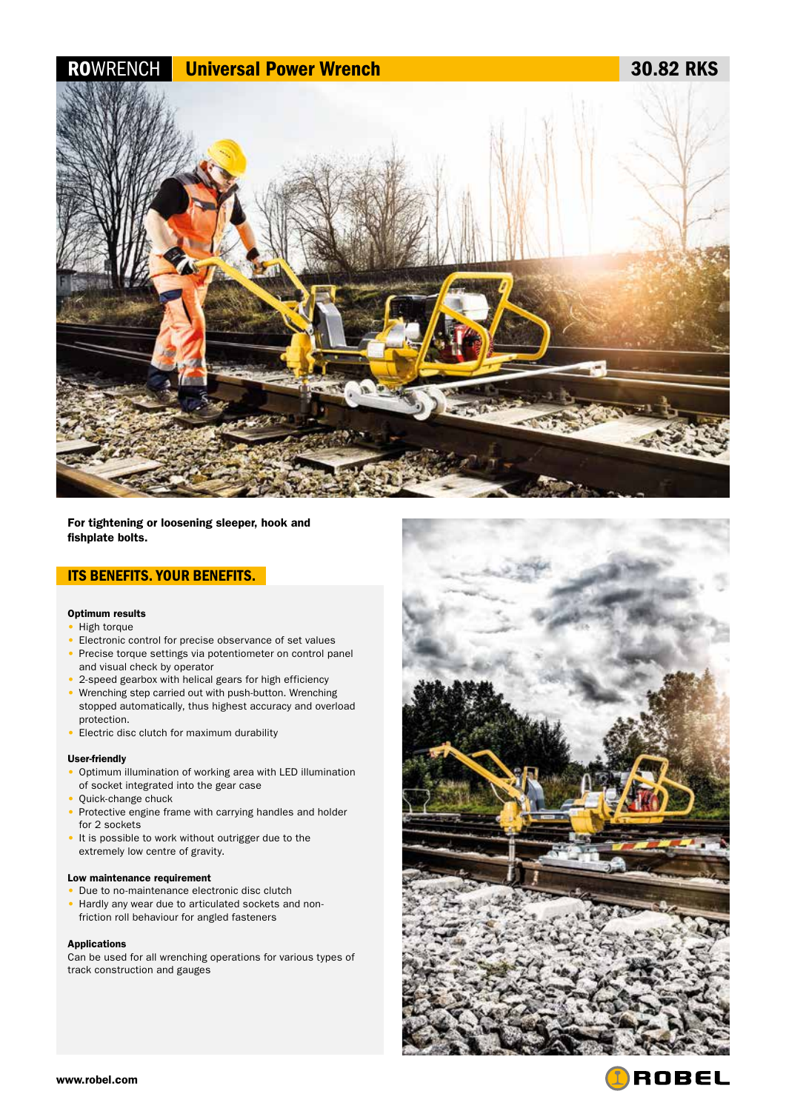# ROWRENCH Universal Power Wrench 30.82 RKS



For tightening or loosening sleeper, hook and fishplate bolts.

## ITS BENEFITS. YOUR BENEFITS.

#### Optimum results

- High torque
- Electronic control for precise observance of set values
- Precise torque settings via potentiometer on control panel and visual check by operator
- 2-speed gearbox with helical gears for high efficiency
- Wrenching step carried out with push-button. Wrenching stopped automatically, thus highest accuracy and overload protection.
- Electric disc clutch for maximum durability

#### User-friendly

- Optimum illumination of working area with LED illumination of socket integrated into the gear case
- Quick-change chuck
- Protective engine frame with carrying handles and holder for 2 sockets
- It is possible to work without outrigger due to the extremely low centre of gravity.

#### Low maintenance requirement

• Due to no-maintenance electronic disc clutch • Hardly any wear due to articulated sockets and nonfriction roll behaviour for angled fasteners

#### Applications

Can be used for all wrenching operations for various types of track construction and gauges